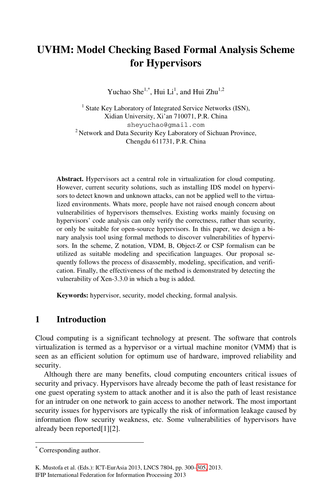# **UVHM: Model Checking Based Formal Analysis Scheme for Hypervisors**

Yuchao She<sup>1,\*</sup>, Hui  $Li<sup>1</sup>$ , and Hui Zhu<sup>1,2</sup>

<sup>1</sup> State Key Laboratory of Integrated Service Networks (ISN), Xidian University, Xi'an 710071, P.R. China sheyuchao@gmail.com 2 Network and Data Security Key Laboratory of Sichuan Province, Chengdu 611731, P.R. China

**Abstract.** Hypervisors act a central role in virtualization for cloud computing. However, current security solutions, such as installing IDS model on hypervisors to detect known and unknown attacks, can not be applied well to the virtualized environments. Whats more, people have not raised enough concern about vulnerabilities of hypervisors themselves. Existing works mainly focusing on hypervisors' code analysis can only verify the correctness, rather than security, or only be suitable for open-source hypervisors. In this paper, we design a binary analysis tool using formal methods to discover vulnerabilities of hypervisors. In the scheme, Z notation, VDM, B, Object-Z or CSP formalism can be utilized as suitable modeling and specification languages. Our proposal sequently follows the process of disassembly, modeling, specification, and verification. Finally, the effectiveness of the method is demonstrated by detecting the vulnerability of Xen-3.3.0 in which a bug is added.

**Keywords:** hypervisor, security, model checking, formal analysis.

#### **1 Introduction**

Cloud computing is a significant technology at present. The software that controls virtualization is termed as a hypervisor or a virtual machine monitor (VMM) that is seen as an efficient solution for optimum use of hardware, improved reliability and security.

Although there are many benefits, cloud computing encounters critical issues of security and privacy. Hypervisors have already become the path of least resistance for one guest operating system to attack another and it is also the path of least resistance for an intruder on one network to [gain](#page-5-0) access to another network. The most important security issues for hypervisors are typically the risk of information leakage caused by information flow security weakness, etc. Some vulnerabilities of hypervisors have already been reported[1][2].

-

<sup>\*</sup> Corresponding author.

K. Mustofa et al. (Eds.): ICT-EurAsia 2013, LNCS 7804, pp. 300–305, 2013. IFIP International Federation for Information Processing 2013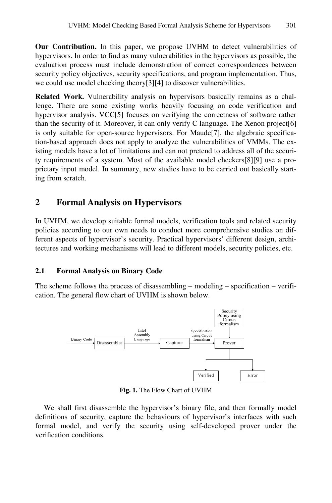**Our Contribution.** In this paper, we propose UVHM to detect vulnerabilities of hypervisors. In order to find as many vulnerabilities in the hypervisors as possible, the evaluation process must include demonstration of correct correspondences between security policy objectives, security specifications, and program implementation. Thus, we could use model checking theory[3][4] to discover vulnerabilities.

**Related Work.** Vulnerability analysis on hypervisors basically remains as a challenge. There are some existing works heavily focusing on code verification and hypervisor analysis. VCC[5] focuses on verifying the correctness of software rather than the security of it. Moreover, it can only verify C language. The Xenon project[6] is only suitable for open-source hypervisors. For Maude[7], the algebraic specification-based approach does not apply to analyze the vulnerabilities of VMMs. The existing models have a lot of limitations and can not pretend to address all of the security requirements of a system. Most of the available model checkers[8][9] use a proprietary input model. In summary, new studies have to be carried out basically starting from scratch.

# **2 Formal Analysis on Hypervisors**

In UVHM, we develop suitable formal models, verification tools and related security policies according to our own needs to conduct more comprehensive studies on different aspects of hypervisor's security. Practical hypervisors' different design, architectures and working mechanisms will lead to different models, security policies, etc.

#### **2.1 Formal Analysis on Binary Code**

The scheme follows the process of disassembling – modeling – specification – verification. The general flow chart of UVHM is shown below.



**Fig. 1.** The Flow Chart of UVHM

We shall first disassemble the hypervisor's binary file, and then formally model definitions of security, capture the behaviours of hypervisor's interfaces with such formal model, and verify the security using self-developed prover under the verification conditions.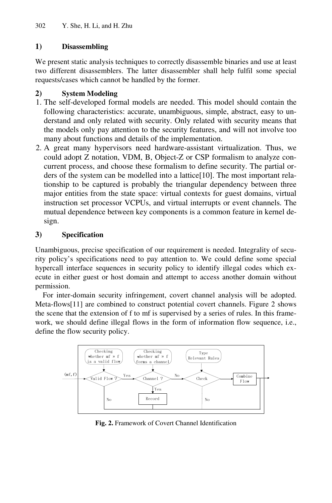# **1) Disassembling**

We present static analysis techniques to correctly disassemble binaries and use at least two different disassemblers. The latter disassembler shall help fulfil some special requests/cases which cannot be handled by the former.

# **2) System Modeling**

- 1. The self-developed formal models are needed. This model should contain the following characteristics: accurate, unambiguous, simple, abstract, easy to understand and only related with security. Only related with security means that the models only pay attention to the security features, and will not involve too many about functions and details of the implementation.
- 2. A great many hypervisors need hardware-assistant virtualization. Thus, we could adopt Z notation, VDM, B, Object-Z or CSP formalism to analyze concurrent process, and choose these formalism to define security. The partial orders of the system can be modelled into a lattice[10]. The most important relationship to be captured is probably the triangular dependency between three major entities from the state space: virtual contexts for guest domains, virtual instruction set processor VCPUs, and virtual interrupts or event channels. The mutual dependence between key components is a common feature in kernel design.

# **3) Specification**

Unambiguous, precise specification of our requirement is needed. Integrality of security policy's specifications need to pay attention to. We could define some special hypercall interface sequences in security policy to identify illegal codes which execute in either guest or host domain and attempt to access another domain without permission.

For inter-domain security infringement, covert channel analysis will be adopted. Meta-flows[11] are combined to construct potential covert channels. Figure 2 shows the scene that the extension of f to mf is supervised by a series of rules. In this framework, we should define illegal flows in the form of information flow sequence, i.e., define the flow security policy.



**Fig. 2.** Framework of Covert Channel Identification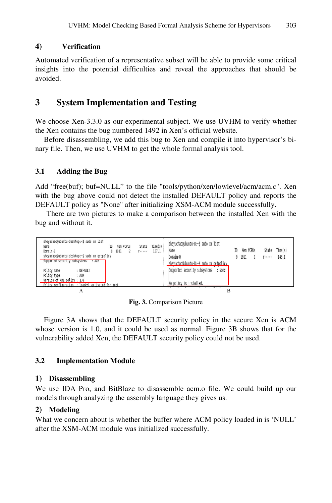#### **4) Verification**

Automated verification of a representative subset will be able to provide some critical insights into the potential difficulties and reveal the approaches that should be avoided.

# **3 System Implementation and Testing**

We choose Xen-3.3.0 as our experimental subject. We use UVHM to verify whether the Xen contains the bug numbered 1492 in Xen's official website.

Before disassembling, we add this bug to Xen and compile it into hypervisor's binary file. Then, we use UVHM to get the whole formal analysis tool.

#### **3.1 Adding the Bug**

Add "free(buf); buf=NULL" to the file "tools/python/xen/lowlevel/acm/acm.c". Xen with the bug above could not detect the installed DEFAULT policy and reports the DEFAULT policy as "None" after initializing XSM-ACM module successfully.

There are two pictures to make a comparison between the installed Xen with the bug and without it.



**Fig. 3.** Comparison Picture

Figure 3A shows that the DEFAULT security policy in the secure Xen is ACM whose version is 1.0, and it could be used as normal. Figure 3B shows that for the vulnerability added Xen, the DEFAULT security policy could not be used.

#### **3.2 Implementation Module**

#### **1) Disassembling**

We use IDA Pro, and BitBlaze to disassemble acm.o file. We could build up our models through analyzing the assembly language they gives us.

#### **2) Modeling**

What we concern about is whether the buffer where ACM policy loaded in is 'NULL' after the XSM-ACM module was initialized successfully.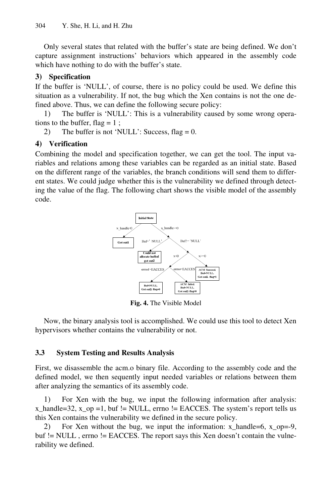Only several states that related with the buffer's state are being defined. We don't capture assignment instructions' behaviors which appeared in the assembly code which have nothing to do with the buffer's state.

#### **3) Specification**

If the buffer is 'NULL', of course, there is no policy could be used. We define this situation as a vulnerability. If not, the bug which the Xen contains is not the one defined above. Thus, we can define the following secure policy:

1) The buffer is 'NULL': This is a vulnerability caused by some wrong operations to the buffer, flag  $= 1$ ;

2) The buffer is not 'NULL': Success, flag =  $0$ .

#### **4) Verification**

Combining the model and specification together, we can get the tool. The input variables and relations among these variables can be regarded as an initial state. Based on the different range of the variables, the branch conditions will send them to different states. We could judge whether this is the vulnerability we defined through detecting the value of the flag. The following chart shows the visible model of the assembly code.



**Fig. 4.** The Visible Model

Now, the binary analysis tool is accomplished. We could use this tool to detect Xen hypervisors whether contains the vulnerability or not.

### **3.3 System Testing and Results Analysis**

First, we disassemble the acm.o binary file. According to the assembly code and the defined model, we then sequently input needed variables or relations between them after analyzing the semantics of its assembly code.

1) For Xen with the bug, we input the following information after analysis:  $x_1$ handle=32,  $x_0$  =1, buf != NULL, errno != EACCES. The system's report tells us this Xen contains the vulnerability we defined in the secure policy.

2) For Xen without the bug, we input the information: x\_handle=6, x\_op=-9, buf != NULL, errno != EACCES. The report says this Xen doesn't contain the vulnerability we defined.